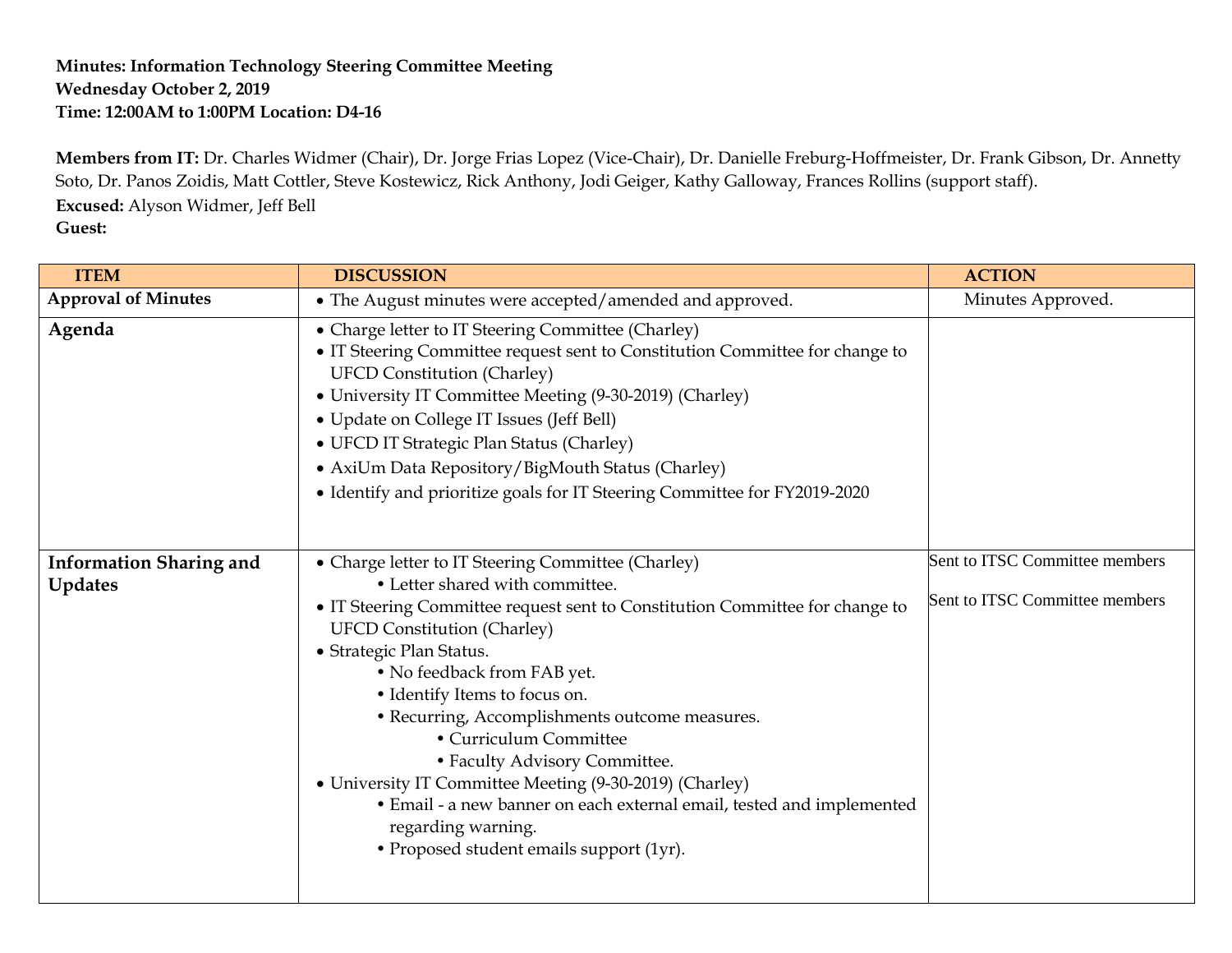## **Minutes: Information Technology Steering Committee Meeting Wednesday October 2, 2019 Time: 12:00AM to 1:00PM Location: D4-16**

**Members from IT:** Dr. Charles Widmer (Chair), Dr. Jorge Frias Lopez (Vice-Chair), Dr. Danielle Freburg-Hoffmeister, Dr. Frank Gibson, Dr. Annetty Soto, Dr. Panos Zoidis, Matt Cottler, Steve Kostewicz, Rick Anthony, Jodi Geiger, Kathy Galloway, Frances Rollins (support staff). **Excused:** Alyson Widmer, Jeff Bell **Guest:** 

| <b>ITEM</b>                                      | <b>DISCUSSION</b>                                                                                                                                                                                                                                                                                                                                                                                                                                                                                                                                                                                                          | <b>ACTION</b>                                                    |
|--------------------------------------------------|----------------------------------------------------------------------------------------------------------------------------------------------------------------------------------------------------------------------------------------------------------------------------------------------------------------------------------------------------------------------------------------------------------------------------------------------------------------------------------------------------------------------------------------------------------------------------------------------------------------------------|------------------------------------------------------------------|
| <b>Approval of Minutes</b>                       | • The August minutes were accepted/amended and approved.                                                                                                                                                                                                                                                                                                                                                                                                                                                                                                                                                                   | Minutes Approved.                                                |
| Agenda                                           | • Charge letter to IT Steering Committee (Charley)<br>• IT Steering Committee request sent to Constitution Committee for change to<br><b>UFCD Constitution (Charley)</b><br>• University IT Committee Meeting (9-30-2019) (Charley)<br>• Update on College IT Issues (Jeff Bell)<br>• UFCD IT Strategic Plan Status (Charley)<br>• AxiUm Data Repository/BigMouth Status (Charley)<br>• Identify and prioritize goals for IT Steering Committee for FY2019-2020                                                                                                                                                            |                                                                  |
| <b>Information Sharing and</b><br><b>Updates</b> | • Charge letter to IT Steering Committee (Charley)<br>• Letter shared with committee.<br>• IT Steering Committee request sent to Constitution Committee for change to<br><b>UFCD Constitution (Charley)</b><br>• Strategic Plan Status.<br>• No feedback from FAB yet.<br>• Identify Items to focus on.<br>• Recurring, Accomplishments outcome measures.<br>• Curriculum Committee<br>• Faculty Advisory Committee.<br>• University IT Committee Meeting (9-30-2019) (Charley)<br>• Email - a new banner on each external email, tested and implemented<br>regarding warning.<br>• Proposed student emails support (1yr). | Sent to ITSC Committee members<br>Sent to ITSC Committee members |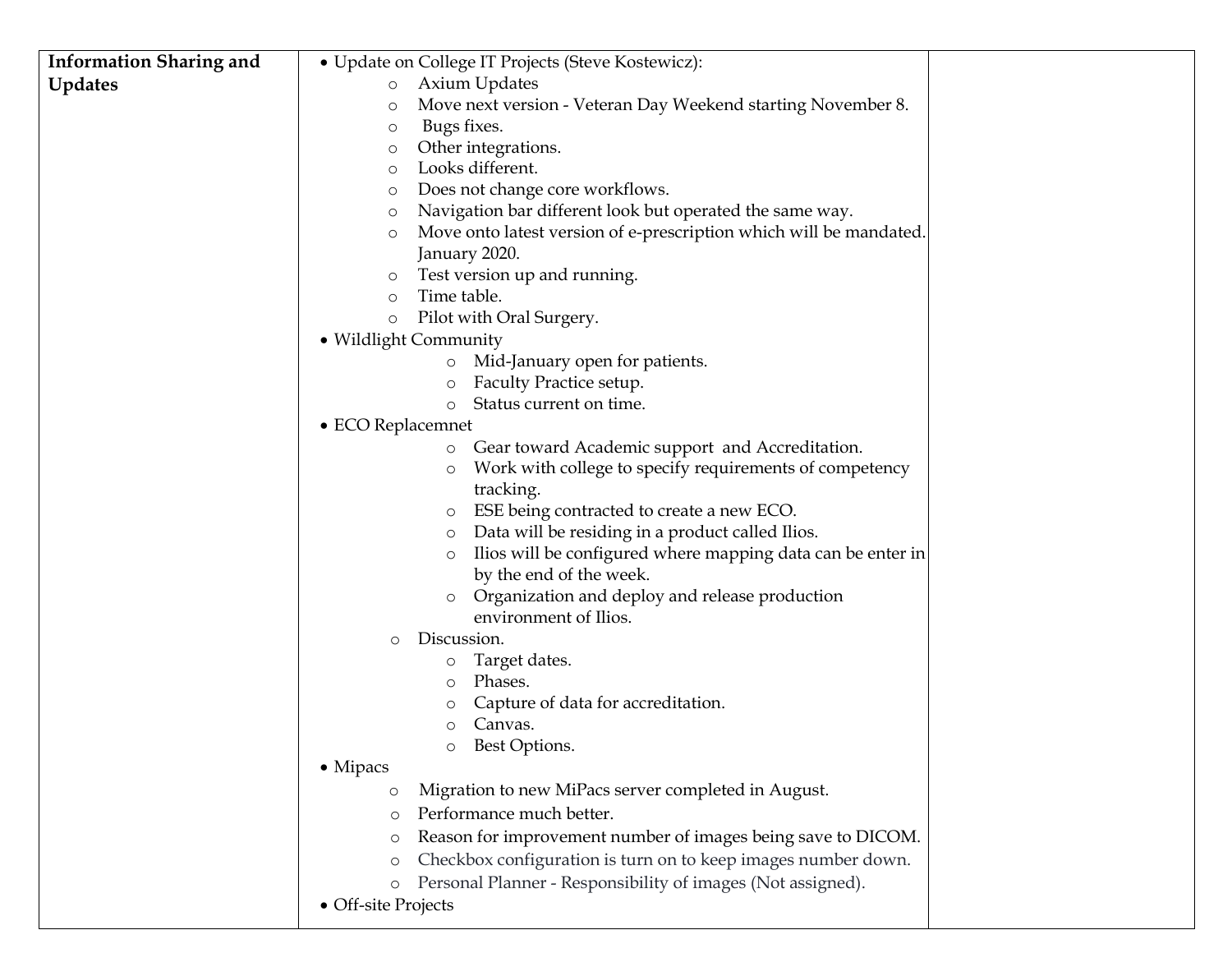| <b>Information Sharing and</b> | · Update on College IT Projects (Steve Kostewicz):                       |
|--------------------------------|--------------------------------------------------------------------------|
| <b>Updates</b>                 | <b>Axium Updates</b><br>$\circ$                                          |
|                                | Move next version - Veteran Day Weekend starting November 8.<br>O        |
|                                | Bugs fixes.<br>О                                                         |
|                                | Other integrations.<br>О                                                 |
|                                | Looks different.<br>O                                                    |
|                                | Does not change core workflows.<br>O                                     |
|                                | Navigation bar different look but operated the same way.<br>O            |
|                                | Move onto latest version of e-prescription which will be mandated.<br>О  |
|                                | January 2020.                                                            |
|                                | Test version up and running.<br>O                                        |
|                                | Time table.<br>$\circ$                                                   |
|                                | Pilot with Oral Surgery.<br>$\circ$                                      |
|                                | • Wildlight Community                                                    |
|                                | Mid-January open for patients.<br>$\circ$                                |
|                                | Faculty Practice setup.<br>$\circ$                                       |
|                                | Status current on time.<br>$\circ$                                       |
|                                | • ECO Replacemnet                                                        |
|                                | Gear toward Academic support and Accreditation.<br>$\circ$               |
|                                | Work with college to specify requirements of competency<br>$\circ$       |
|                                | tracking.                                                                |
|                                | ESE being contracted to create a new ECO.<br>O                           |
|                                | Data will be residing in a product called Ilios.<br>O                    |
|                                | Ilios will be configured where mapping data can be enter in<br>$\circ$   |
|                                | by the end of the week.                                                  |
|                                | Organization and deploy and release production<br>$\circ$                |
|                                | environment of Ilios.                                                    |
|                                | Discussion.<br>$\circ$                                                   |
|                                | Target dates.<br>O                                                       |
|                                | Phases.<br>$\circ$                                                       |
|                                | Capture of data for accreditation.<br>$\circ$                            |
|                                | Canvas.<br>$\circ$                                                       |
|                                | Best Options.                                                            |
|                                | $\bullet$ Mipacs                                                         |
|                                | Migration to new MiPacs server completed in August.<br>$\circ$           |
|                                | Performance much better.<br>$\circ$                                      |
|                                | Reason for improvement number of images being save to DICOM.<br>$\circ$  |
|                                | Checkbox configuration is turn on to keep images number down.<br>$\circ$ |
|                                | Personal Planner - Responsibility of images (Not assigned).<br>$\circ$   |
|                                | • Off-site Projects                                                      |
|                                |                                                                          |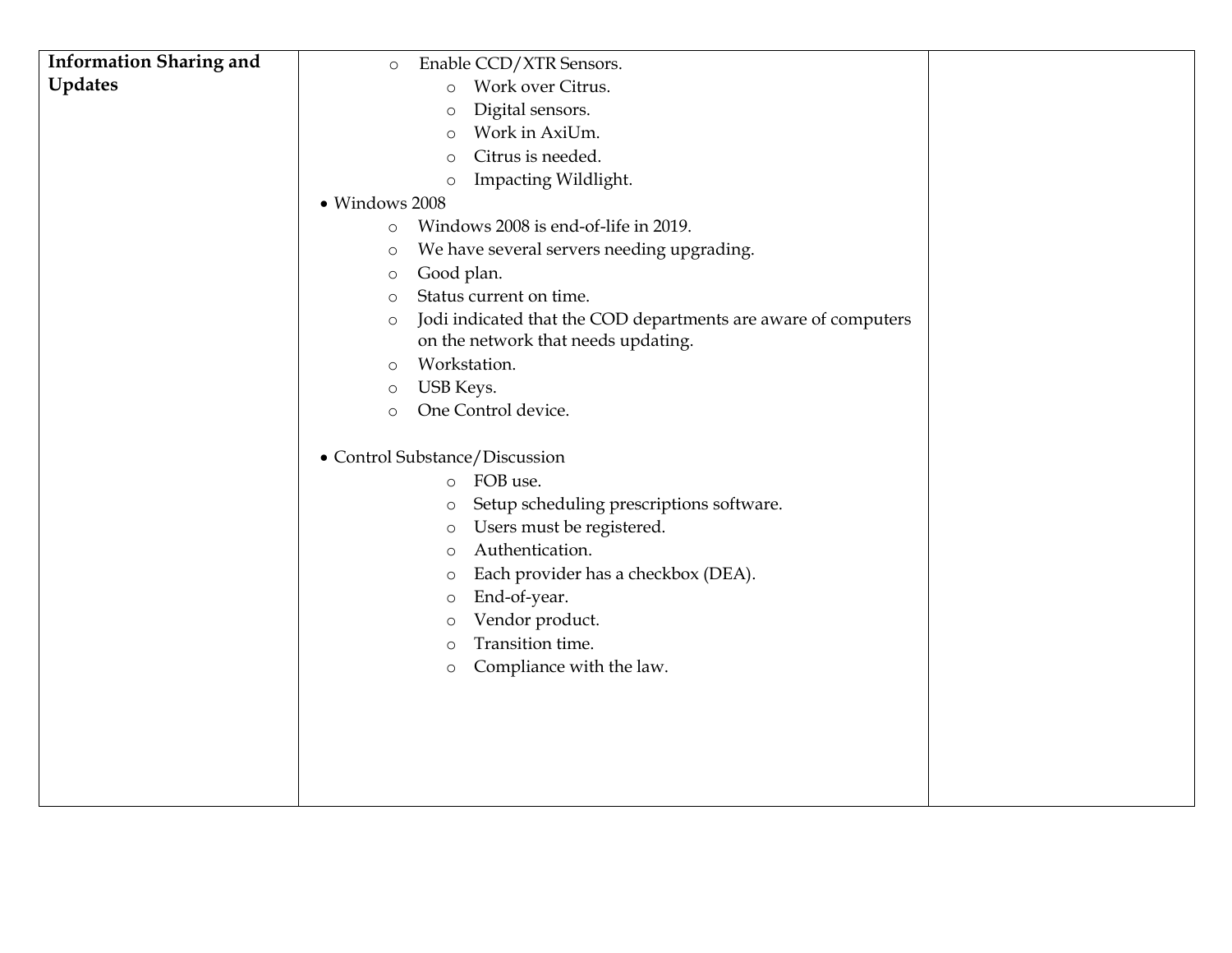| <b>Information Sharing and</b> | Enable CCD/XTR Sensors.<br>$\circ$                                         |  |
|--------------------------------|----------------------------------------------------------------------------|--|
| <b>Updates</b>                 | Work over Citrus.<br>$\circ$                                               |  |
|                                | Digital sensors.<br>$\circ$                                                |  |
|                                | Work in AxiUm.<br>$\circ$                                                  |  |
|                                | Citrus is needed.<br>$\circ$                                               |  |
|                                | Impacting Wildlight.<br>O                                                  |  |
|                                | · Windows 2008                                                             |  |
|                                | Windows 2008 is end-of-life in 2019.<br>$\circ$                            |  |
|                                | We have several servers needing upgrading.<br>$\circ$                      |  |
|                                | Good plan.<br>$\circ$                                                      |  |
|                                | Status current on time.<br>$\circ$                                         |  |
|                                | Jodi indicated that the COD departments are aware of computers<br>$\circ$  |  |
|                                | on the network that needs updating.                                        |  |
|                                | Workstation.<br>$\circ$                                                    |  |
|                                | USB Keys.<br>$\circ$                                                       |  |
|                                | One Control device.<br>$\circ$                                             |  |
|                                |                                                                            |  |
|                                | • Control Substance/Discussion<br>FOB use.                                 |  |
|                                | $\circ$                                                                    |  |
|                                | Setup scheduling prescriptions software.<br>O<br>Users must be registered. |  |
|                                | $\circ$<br>Authentication.                                                 |  |
|                                | O<br>Each provider has a checkbox (DEA).<br>O                              |  |
|                                | End-of-year.<br>O                                                          |  |
|                                | Vendor product.<br>O                                                       |  |
|                                | Transition time.<br>O                                                      |  |
|                                | Compliance with the law.<br>$\circ$                                        |  |
|                                |                                                                            |  |
|                                |                                                                            |  |
|                                |                                                                            |  |
|                                |                                                                            |  |
|                                |                                                                            |  |
|                                |                                                                            |  |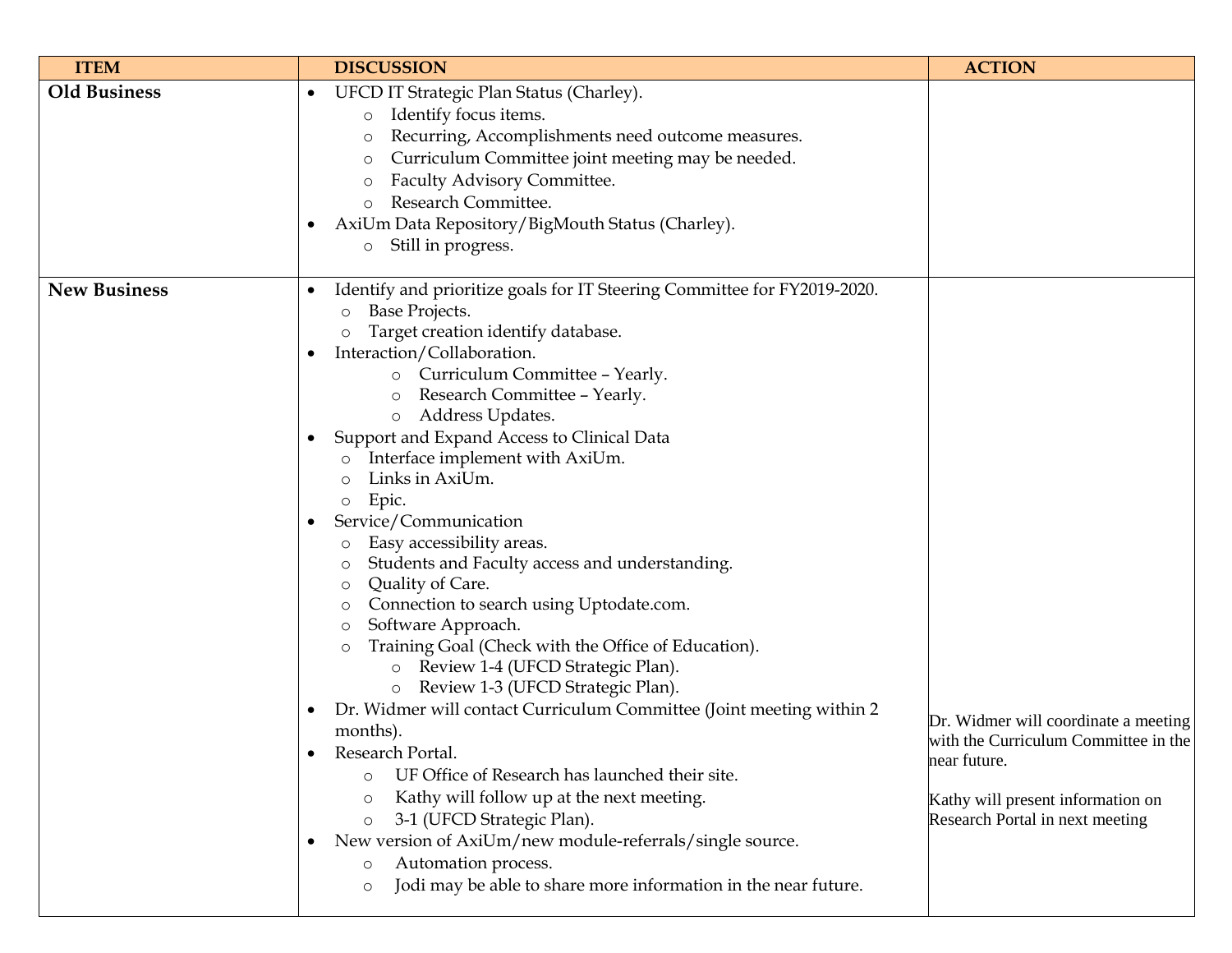| <b>ITEM</b>         | <b>DISCUSSION</b>                                                                                                                                                                                                                                                                                                                                                                                                                                                                                                                                                                                                                                                                                                                                                                                                                                                                                                                                                                                                                                                                                                                                                                                                                                                                               | <b>ACTION</b>                                                                                                                                                        |
|---------------------|-------------------------------------------------------------------------------------------------------------------------------------------------------------------------------------------------------------------------------------------------------------------------------------------------------------------------------------------------------------------------------------------------------------------------------------------------------------------------------------------------------------------------------------------------------------------------------------------------------------------------------------------------------------------------------------------------------------------------------------------------------------------------------------------------------------------------------------------------------------------------------------------------------------------------------------------------------------------------------------------------------------------------------------------------------------------------------------------------------------------------------------------------------------------------------------------------------------------------------------------------------------------------------------------------|----------------------------------------------------------------------------------------------------------------------------------------------------------------------|
| <b>Old Business</b> | UFCD IT Strategic Plan Status (Charley).<br>$\bullet$<br>Identify focus items.<br>$\circ$<br>Recurring, Accomplishments need outcome measures.<br>$\circ$<br>Curriculum Committee joint meeting may be needed.<br>$\circ$<br>Faculty Advisory Committee.<br>$\circ$<br>Research Committee.<br>AxiUm Data Repository/BigMouth Status (Charley).<br>$\bullet$<br>Still in progress.<br>$\circ$                                                                                                                                                                                                                                                                                                                                                                                                                                                                                                                                                                                                                                                                                                                                                                                                                                                                                                    |                                                                                                                                                                      |
| <b>New Business</b> | Identify and prioritize goals for IT Steering Committee for FY2019-2020.<br>$\bullet$<br>Base Projects.<br>O<br>Target creation identify database.<br>Interaction/Collaboration.<br>o Curriculum Committee - Yearly.<br>Research Committee - Yearly.<br>$\circ$<br>o Address Updates.<br>Support and Expand Access to Clinical Data<br>$\bullet$<br>Interface implement with AxiUm.<br>Links in AxiUm.<br>Epic.<br>$\circ$<br>Service/Communication<br>Easy accessibility areas.<br>Students and Faculty access and understanding.<br>$\circ$<br>Quality of Care.<br>$\circ$<br>Connection to search using Uptodate.com.<br>$\circ$<br>Software Approach.<br>$\circ$<br>Training Goal (Check with the Office of Education).<br>$\circ$<br>o Review 1-4 (UFCD Strategic Plan).<br>o Review 1-3 (UFCD Strategic Plan).<br>Dr. Widmer will contact Curriculum Committee (Joint meeting within 2<br>$\bullet$<br>months).<br>Research Portal.<br>UF Office of Research has launched their site.<br>$\circ$<br>Kathy will follow up at the next meeting.<br>$\circ$<br>3-1 (UFCD Strategic Plan).<br>$\circ$<br>New version of AxiUm/new module-referrals/single source.<br>$\bullet$<br>Automation process.<br>$\circ$<br>Jodi may be able to share more information in the near future.<br>$\circ$ | Dr. Widmer will coordinate a meeting<br>with the Curriculum Committee in the<br>near future.<br>Kathy will present information on<br>Research Portal in next meeting |